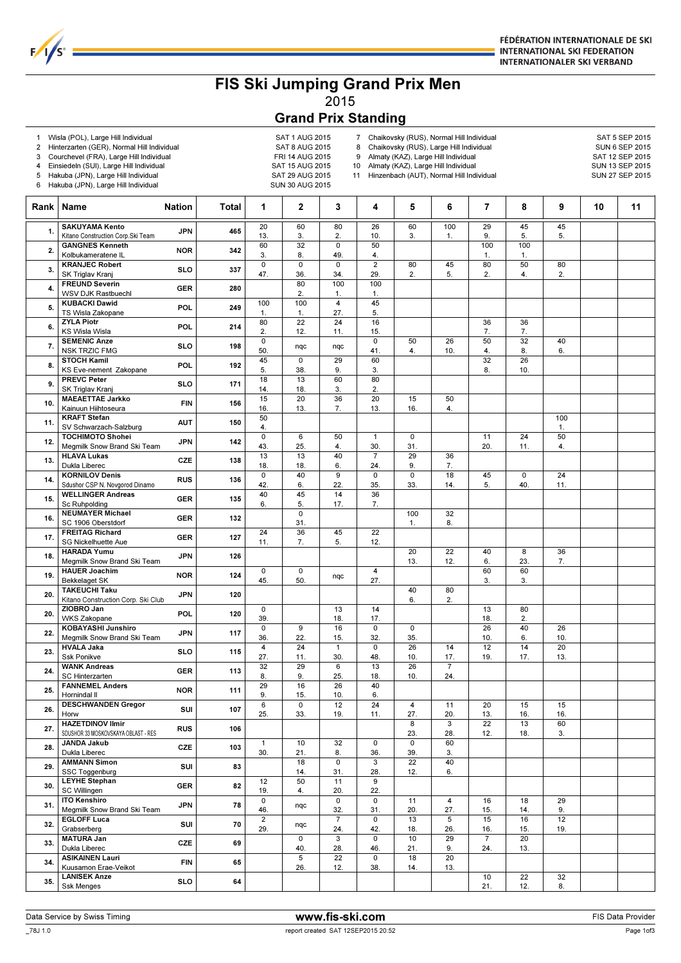

## FIS Ski Jumping Grand Prix Men 2015

## Grand Prix Standing

1 Wisla (POL), Large Hill Individual and the same same SAT 1 AUG 2015<br>2 Hinterzarten (GER), Normal Hill Individual SAT 8 AUG 2015

 $F/I/S^c$ 

- 2 Hinterzarten (GER), Normal Hill Individual SAT 8 AUG 2015<br>3 Courchevel (FRA), Large Hill Individual FRI 14 AUG 2015
- Courchevel (FRA), Large Hill Individual

4 Einsiedeln (SUI), Large Hill Individual SAT 15 AUG 2015

7 Chaikovsky (RUS), Normal Hill Individual SAT 5 SEP 2015<br>8 Chaikovsky (RUS), Large Hill Individual SUN 6 SEP 2015 8 Chaikovsky (RUS), Large Hill Individual SUN 6 SEP 2015<br>9 Almaty (KAZ), Large Hill Individual Sun SAT 12 SEP 2015

Almaty (KAZ), Large Hill Individual

10 Almaty (KAZ), Large Hill Individual SUN 13 SEP 2015

5 Hakuba (JPN), Large Hill Individual SAT 29 AUG 2015 6 Hakuba (JPN), Large Hill Individual SUN 30 AUG 2015 11 Hinzenbach (AUT), Normal Hill Individual SUN 27 SEP 2015 Rank Name Nation Total 1 2 3 4 5 6 7 8 9 10 11  $\overline{20}$ 13.  $\overline{60}$ 3.  $\overline{80}$  $\overline{2}$  $\overline{26}$ 10.  $\overline{60}$ 3.  $100$ 1.  $\frac{1}{29}$ 9. 45 5.  $\frac{45}{5}$ 5. 1. SAKUYAMA Kento Kitano Construction Corp.Ski Team JPN 465 60 3. 32 8.  $\overline{\mathfrak{o}}$ 49. 50 4. 100 1. 100 1. 2. GANGNES Kenneth Kolbukameratene IL NOR 342  $\overline{0}$ 47.  $\overline{0}$ 36.  $\overline{0}$ 34. 2 29. 80 2. 45 5. 80 2. 50 4. 80 2. 3. KRANJEC Robert SK Triglav Kranj SLO 337 80 2. 100 1. 100 100 1. 100 1. 4 27. 45 80 2. 22 12. 24 11. 16 15. 36 7. 36 0  $50.$  nqc nqc 0 41. 50 4. 26 10. 50 4. 32 8. 40 45 5. 0 38. 29 9. 60 3. 32 8. 26 18 14. 13 18. 60 3. 80 15 16. 20 13. 36 7. 20 13. 15 16. 50 50 100

|     | SK Inglav Kranj                     |            |     | 47.            | 36.         | 34.                     | 29.                     | 2.             | 5.             | 2.              | 4.  | 2.  |  |  |
|-----|-------------------------------------|------------|-----|----------------|-------------|-------------------------|-------------------------|----------------|----------------|-----------------|-----|-----|--|--|
|     | <b>FREUND Severin</b>               |            |     |                | 80          | 100                     | 100                     |                |                |                 |     |     |  |  |
| 4.  | <b>WSV DJK Rastbuechl</b>           | <b>GER</b> | 280 |                | 2.          | 1.                      | 1.                      |                |                |                 |     |     |  |  |
|     | <b>KUBACKI Dawid</b>                |            |     | 100            | 100         | $\overline{\mathbf{4}}$ | 45                      |                |                |                 |     |     |  |  |
| 5.  | TS Wisla Zakopane                   | POL        | 249 | 1.             | 1.          | 27.                     | 5.                      |                |                |                 |     |     |  |  |
|     |                                     |            |     |                |             |                         |                         |                |                |                 |     |     |  |  |
| 6.  | <b>ZYLA Piotr</b>                   | POL        | 214 | 80             | 22          | 24                      | 16                      |                |                | 36              | 36  |     |  |  |
|     | <b>KS Wisla Wisla</b>               |            |     | 2.             | 12.         | 11.                     | 15.                     |                |                | 7.              | 7.  |     |  |  |
| 7.  | <b>SEMENIC Anze</b>                 | <b>SLO</b> | 198 | $\overline{0}$ | nqc         |                         | $\overline{0}$          | 50             | 26             | 50              | 32  | 40  |  |  |
|     | <b>NSK TRZIC FMG</b>                |            |     | 50.            |             | nqc                     | 41.                     | 4.             | 10.            | 4.              | 8.  | 6.  |  |  |
|     | <b>STOCH Kamil</b>                  |            |     | 45             | 0           | 29                      | 60                      |                |                | 32              | 26  |     |  |  |
| 8.  | KS Eve-nement Zakopane              | POL        | 192 | 5.             | 38.         | 9.                      | 3.                      |                |                | 8.              | 10. |     |  |  |
|     | <b>PREVC Peter</b>                  |            |     | 18             | 13          | 60                      | 80                      |                |                |                 |     |     |  |  |
| 9.  | SK Triglav Krani                    | <b>SLO</b> | 171 | 14.            | 18.         | 3.                      | 2.                      |                |                |                 |     |     |  |  |
|     |                                     |            |     |                |             |                         |                         |                |                |                 |     |     |  |  |
| 10. | <b>MAEAETTAE Jarkko</b>             | <b>FIN</b> | 156 | 15             | 20          | $\overline{36}$         | $\overline{20}$         | 15             | 50             |                 |     |     |  |  |
|     | Kainuun Hiihtoseura                 |            |     | 16.            | 13.         | 7.                      | 13.                     | 16.            | 4.             |                 |     |     |  |  |
| 11. | <b>KRAFT Stefan</b>                 | <b>AUT</b> | 150 | 50             |             |                         |                         |                |                |                 |     | 100 |  |  |
|     | SV Schwarzach-Salzburg              |            |     | 4.             |             |                         |                         |                |                |                 |     | 1.  |  |  |
|     | <b>TOCHIMOTO Shohei</b>             |            |     | $\mathbf 0$    | 6           | 50                      | $\mathbf{1}$            | 0              |                | 11              | 24  | 50  |  |  |
| 12. | Megmilk Snow Brand Ski Team         | JPN        | 142 | 43.            | 25.         | 4.                      | 30.                     | 31.            |                | 20.             | 11. | 4.  |  |  |
|     | <b>HLAVA Lukas</b>                  |            |     | 13             | 13          | 40                      | $\overline{7}$          | 29             | 36             |                 |     |     |  |  |
| 13. | Dukla Liberec                       | CZE        | 138 | 18.            | 18.         | 6.                      | 24.                     | 9.             | 7.             |                 |     |     |  |  |
|     |                                     |            |     |                |             |                         |                         |                |                |                 |     |     |  |  |
| 14. | <b>KORNILOV Denis</b>               | <b>RUS</b> | 136 | 0              | 40          | $\overline{9}$          | $\overline{0}$          | $\overline{0}$ | 18             | 45              | 0   | 24  |  |  |
|     | Sdushor CSP N. Novgorod Dinamo      |            |     | 42.            | 6.          | 22.                     | 35.                     | 33.            | 14.            | 5.              | 40. | 11. |  |  |
| 15. | <b>WELLINGER Andreas</b>            | <b>GER</b> | 135 | 40             | 45          | 14                      | 36                      |                |                |                 |     |     |  |  |
|     | Sc Ruhpolding                       |            |     | 6.             | 5.          | 17.                     | 7.                      |                |                |                 |     |     |  |  |
|     | <b>NEUMAYER Michael</b>             |            |     |                | $\Omega$    |                         |                         | 100            | 32             |                 |     |     |  |  |
| 16. | SC 1906 Oberstdorf                  | <b>GER</b> | 132 |                | 31.         |                         |                         | 1.             | 8.             |                 |     |     |  |  |
|     | <b>FREITAG Richard</b>              |            |     | 24             | 36          | 45                      | 22                      |                |                |                 |     |     |  |  |
| 17. | <b>SG Nickelhuette Aue</b>          | <b>GER</b> | 127 |                | 7.          | 5.                      | 12.                     |                |                |                 |     |     |  |  |
|     |                                     |            |     | 11.            |             |                         |                         |                |                |                 |     |     |  |  |
| 18. | <b>HARADA Yumu</b>                  | <b>JPN</b> | 126 |                |             |                         |                         | 20             | 22             | 40              | 8   | 36  |  |  |
|     | Megmilk Snow Brand Ski Team         |            |     |                |             |                         |                         | 13.            | 12.            | 6.              | 23. | 7.  |  |  |
|     | <b>HAUER Joachim</b>                | <b>NOR</b> | 124 | 0              | $\mathbf 0$ |                         | $\overline{\mathbf{4}}$ |                |                | 60              | 60  |     |  |  |
| 19. | <b>Bekkelaget SK</b>                |            |     | 45.            | 50.         | nqc                     | 27.                     |                |                | 3.              | 3.  |     |  |  |
|     | <b>TAKEUCHI Taku</b>                |            |     |                |             |                         |                         | 40             | 80             |                 |     |     |  |  |
| 20. | Kitano Construction Corp. Ski Club  | <b>JPN</b> | 120 |                |             |                         |                         | 6.             | 2.             |                 |     |     |  |  |
|     | ZIOBRO Jan                          |            |     | 0              |             | 13                      | 14                      |                |                | 13              | 80  |     |  |  |
| 20. |                                     | POL        | 120 |                |             |                         |                         |                |                |                 |     |     |  |  |
|     | <b>WKS Zakopane</b>                 |            |     | 39.            |             | 18.                     | 17.                     |                |                | 18.             | 2.  |     |  |  |
| 22. | <b>KOBAYASHI Junshiro</b>           | JPN        | 117 | $\mathbf 0$    | 9           | 16                      | $\overline{0}$          | 0              |                | $\overline{26}$ | 40  | 26  |  |  |
|     | Megmilk Snow Brand Ski Team         |            |     | 36.            | 22.         | 15.                     | 32.                     | 35.            |                | 10.             | 6.  | 10. |  |  |
|     | <b>HVALA Jaka</b>                   |            |     | 4              | 24          | $\overline{1}$          | $\mathsf 0$             | 26             | 14             | 12              | 14  | 20  |  |  |
| 23. | Ssk Ponikve                         | <b>SLO</b> | 115 | 27.            | 11.         | 30.                     | 48.                     | 10.            | 17.            | 19.             | 17. | 13. |  |  |
|     | <b>WANK Andreas</b>                 |            |     | 32             | 29          | 6                       | 13                      | 26             | $\overline{7}$ |                 |     |     |  |  |
| 24. | <b>SC Hinterzarten</b>              | <b>GER</b> | 113 | 8.             | 9.          | 25.                     | 18.                     | 10.            | 24.            |                 |     |     |  |  |
|     |                                     |            |     |                |             |                         |                         |                |                |                 |     |     |  |  |
| 25. | <b>FANNEMEL Anders</b>              | <b>NOR</b> | 111 | 29             | 16          | 26                      | 40                      |                |                |                 |     |     |  |  |
|     | Hornindal II                        |            |     | 9.             | 15.         | 10.                     | 6.                      |                |                |                 |     |     |  |  |
| 26. | <b>DESCHWANDEN Gregor</b>           | SUI        | 107 | 6              | $\mathbf 0$ | 12                      | 24                      | $\overline{4}$ | 11             | 20              | 15  | 15  |  |  |
|     | Horw                                |            |     | 25.            | 33.         | 19.                     | 11.                     | 27.            | 20.            | 13.             | 16. | 16. |  |  |
|     | <b>HAZETDINOV Ilmir</b>             |            |     |                |             |                         |                         | $\overline{8}$ | $\overline{3}$ | $\overline{22}$ | 13  | 60  |  |  |
| 27. | SDUSHOR 33 MOSKOVSKAYA OBLAST - RES | <b>RUS</b> | 106 |                |             |                         |                         | 23.            | 28.            | 12.             | 18. | 3.  |  |  |
|     | <b>JANDA Jakub</b>                  |            |     | $\mathbf{1}$   | 10          | 32                      | $\overline{0}$          | $\overline{0}$ | 60             |                 |     |     |  |  |
| 28. | Dukla Liberec                       | CZE        | 103 | 30.            | 21.         | 8.                      | 36.                     | 39.            | 3.             |                 |     |     |  |  |
|     |                                     |            |     |                | 18          |                         |                         |                | 40             |                 |     |     |  |  |
| 29. | <b>AMMANN Simon</b>                 | SUI        | 83  |                |             | $\mathbf 0$             | 3                       | 22             |                |                 |     |     |  |  |
|     | SSC Toggenburg                      |            |     |                | 14.         | 31.                     | 28.                     | 12.            | 6.             |                 |     |     |  |  |
| 30. | <b>LEYHE Stephan</b>                | GER        | 82  | 12             | 50          | 11                      | 9                       |                |                |                 |     |     |  |  |
|     | <b>SC Willingen</b>                 |            |     | 19.            | 4.          | 20.                     | 22.                     |                |                |                 |     |     |  |  |
|     | <b>ITO Kenshiro</b>                 |            |     | 0              |             | 0                       | 0                       | 11             | 4              | 16              | 18  | 29  |  |  |
| 31. | Megmilk Snow Brand Ski Team         | <b>JPN</b> | 78  | 46.            | nqc         | 32.                     | 31.                     | 20.            | 27.            | 15.             | 14. | 9.  |  |  |
|     | <b>EGLOFF Luca</b>                  |            |     | $\overline{2}$ |             | $\overline{7}$          | 0                       | 13             | 5              | 15              | 16  | 12  |  |  |
| 32. |                                     | SUI        | 70  |                | nqc         |                         |                         |                |                |                 |     |     |  |  |
|     | Grabserberg                         |            |     | 29.            |             | 24.                     | 42.                     | 18.            | 26.            | 16.             | 15. | 19. |  |  |
| 33. | <b>MATURA Jan</b>                   | CZE        | 69  |                | $\mathbf 0$ | $\mathbf{3}$            | 0                       | 10             | 29             | $\overline{7}$  | 20  |     |  |  |
|     | Dukla Liberec                       |            |     |                | 40.         | 28.                     | 46.                     | 21.            | 9.             | 24.             | 13. |     |  |  |
|     | <b>ASIKAINEN Lauri</b>              |            | 65  |                | 5           | 22                      | 0                       | 18             | 20             |                 |     |     |  |  |
| 34. | Kuusamon Erae-Veikot                | <b>FIN</b> |     |                | 26.         | 12.                     | 38.                     | 14.            | 13.            |                 |     |     |  |  |
|     | <b>LANISEK Anze</b>                 |            |     |                |             |                         |                         |                |                | 10              | 22  | 32  |  |  |
| 35. |                                     | SLO        | 64  |                |             |                         |                         |                |                | 21.             | 12. | 8.  |  |  |
|     | <b>Ssk Menges</b>                   |            |     |                |             |                         |                         |                |                |                 |     |     |  |  |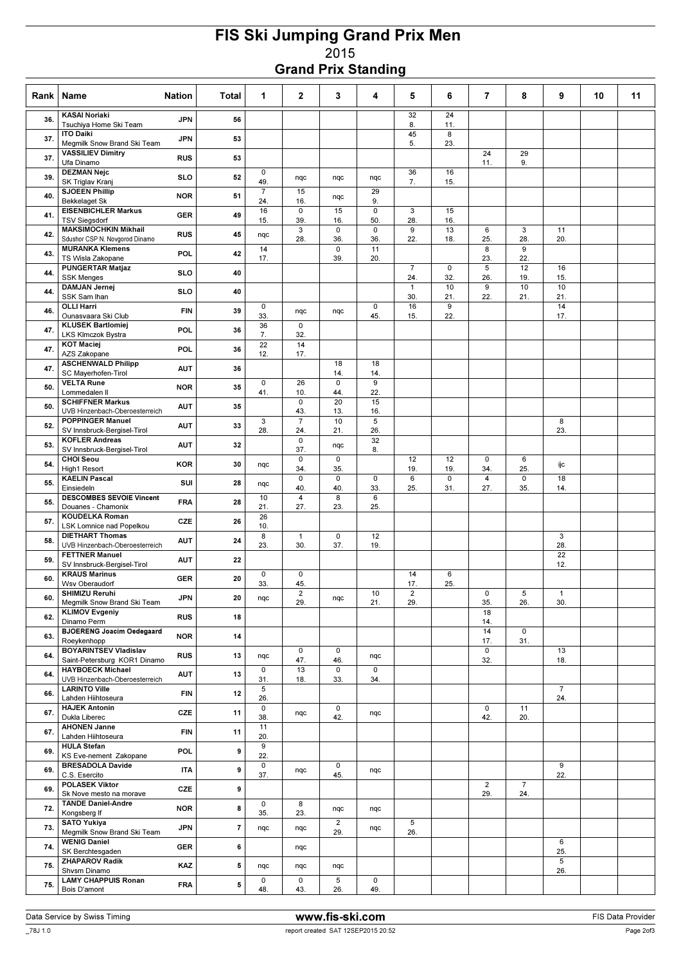## FIS Ski Jumping Grand Prix Men 2015 Grand Prix Standing

| Rank | Name                                                          | <b>Nation</b> | Total                   | 1                     | $\mathbf{2}$                   | 3                     | 4                     | 5                              | 6         | $\overline{7}$        | 8                     | 9                   | 10 | 11 |
|------|---------------------------------------------------------------|---------------|-------------------------|-----------------------|--------------------------------|-----------------------|-----------------------|--------------------------------|-----------|-----------------------|-----------------------|---------------------|----|----|
| 36.  | <b>KASAI Noriaki</b><br>Tsuchiya Home Ski Team                | <b>JPN</b>    | 56                      |                       |                                |                       |                       | 32<br>8.                       | 24<br>11. |                       |                       |                     |    |    |
| 37.  | <b>ITO Daiki</b>                                              | <b>JPN</b>    | 53                      |                       |                                |                       |                       | 45                             | 8         |                       |                       |                     |    |    |
| 37.  | Megmilk Snow Brand Ski Team<br><b>VASSILIEV Dimitry</b>       | <b>RUS</b>    | 53                      |                       |                                |                       |                       | 5.                             | 23.       | 24                    | 29                    |                     |    |    |
|      | Ufa Dinamo<br><b>DEZMAN Nejc</b>                              |               | 52                      | 0                     |                                |                       |                       | 36                             | 16        | 11.                   | 9.                    |                     |    |    |
| 39.  | SK Triglav Kranj<br><b>SJOEEN Phillip</b>                     | <b>SLO</b>    |                         | 49.<br>$\overline{7}$ | nqc<br>15                      | nqc                   | nqc<br>29             | 7.                             | 15.       |                       |                       |                     |    |    |
| 40.  | <b>Bekkelaget Sk</b><br><b>EISENBICHLER Markus</b>            | <b>NOR</b>    | 51                      | 24.<br>16             | 16.<br>0                       | nqc<br>15             | 9.<br>0               | 3                              | 15        |                       |                       |                     |    |    |
| 41.  | <b>TSV Siegsdorf</b>                                          | <b>GER</b>    | 49                      | 15.                   | 39.                            | 16.                   | 50.                   | 28.                            | 16.       |                       |                       |                     |    |    |
| 42.  | <b>MAKSIMOCHKIN Mikhail</b><br>Sdushor CSP N. Novgorod Dinamo | <b>RUS</b>    | 45                      | nqc                   | 3<br>28.                       | 0<br>36.              | $\mathbf 0$<br>36.    | 9<br>22.                       | 13<br>18. | 6<br>25.              | 3<br>28.              | 11<br>20.           |    |    |
| 43.  | <b>MURANKA Klemens</b><br>TS Wisla Zakopane                   | POL           | 42                      | 14<br>17.             |                                | 0<br>39.              | 11<br>20.             |                                |           | 8<br>23.              | 9<br>22.              |                     |    |    |
| 44.  | <b>PUNGERTAR Matjaz</b><br><b>SSK Menges</b>                  | <b>SLO</b>    | 40                      |                       |                                |                       |                       | $\overline{7}$<br>24.          | 0<br>32.  | $\overline{5}$<br>26. | 12<br>19.             | 16<br>15.           |    |    |
| 44.  | <b>DAMJAN Jernej</b><br>SSK Sam Ihan                          | <b>SLO</b>    | 40                      |                       |                                |                       |                       | $\mathbf{1}$<br>30.            | 10<br>21. | 9<br>22.              | 10<br>21.             | 10<br>21.           |    |    |
| 46.  | <b>OLLI Harri</b>                                             | <b>FIN</b>    | 39                      | $\mathsf 0$           | nqc                            | nqc                   | $\mathbf 0$           | 16                             | 9         |                       |                       | 14                  |    |    |
| 47   | Ounasvaara Ski Club<br><b>KLUSEK Bartlomiej</b>               | POL           | 36                      | 33.<br>36             | 0                              |                       | 45.                   | 15.                            | 22.       |                       |                       | 17.                 |    |    |
|      | <b>LKS Klmczok Bystra</b><br><b>KOT</b> Maciej                |               |                         | 7.<br>22              | 32.<br>14                      |                       |                       |                                |           |                       |                       |                     |    |    |
| 47.  | AZS Zakopane<br><b>ASCHENWALD Philipp</b>                     | POL           | 36                      | 12.                   | 17.                            | 18                    | 18                    |                                |           |                       |                       |                     |    |    |
| 47.  | SC Mayerhofen-Tirol<br><b>VELTA Rune</b>                      | <b>AUT</b>    | 36                      | $\mathsf 0$           | 26                             | 14.<br>0              | 14.<br>9              |                                |           |                       |                       |                     |    |    |
| 50.  | Lommedalen II                                                 | <b>NOR</b>    | 35                      | 41.                   | 10.                            | 44.                   | 22.                   |                                |           |                       |                       |                     |    |    |
| 50.  | <b>SCHIFFNER Markus</b><br>UVB Hinzenbach-Oberoesterreich     | <b>AUT</b>    | 35                      |                       | $\mathbf 0$<br>43.             | 20<br>13.             | 15<br>16.             |                                |           |                       |                       |                     |    |    |
| 52.  | <b>POPPINGER Manuel</b><br>SV Innsbruck-Bergisel-Tirol        | <b>AUT</b>    | 33                      | 3<br>28.              | $\overline{7}$<br>24.          | 10<br>21.             | $\overline{5}$<br>26. |                                |           |                       |                       | 8<br>23.            |    |    |
| 53.  | <b>KOFLER Andreas</b><br>SV Innsbruck-Bergisel-Tirol          | <b>AUT</b>    | 32                      |                       | $\mathsf 0$<br>37.             | nqc                   | 32<br>8.              |                                |           |                       |                       |                     |    |    |
| 54.  | <b>CHOI Seou</b><br><b>High1 Resort</b>                       | <b>KOR</b>    | 30                      | nqc                   | 0<br>34.                       | 0<br>35.              |                       | 12<br>19.                      | 12<br>19. | $\mathbf 0$<br>34.    | 6<br>25.              | ijc                 |    |    |
| 55.  | <b>KAELIN Pascal</b>                                          | SUI           | 28                      | nqc                   | 0                              | 0                     | 0                     | 6                              | 0         | 4                     | 0                     | 18                  |    |    |
| 55.  | Einsiedeln<br><b>DESCOMBES SEVOIE Vincent</b>                 | FRA           | 28                      | 10                    | 40.<br>$\overline{\mathbf{4}}$ | 40.<br>8              | 33.<br>6              | 25.                            | 31.       | 27.                   | 35.                   | 14.                 |    |    |
| 57.  | Douanes - Chamonix<br><b>KOUDELKA Roman</b>                   | CZE           | 26                      | 21.<br>26             | 27.                            | 23.                   | 25.                   |                                |           |                       |                       |                     |    |    |
|      | LSK Lomnice nad Popelkou<br><b>DIETHART Thomas</b>            |               |                         | 10.<br>8              | $\mathbf{1}$                   | 0                     | 12                    |                                |           |                       |                       | 3                   |    |    |
| 58.  | UVB Hinzenbach-Oberoesterreich<br><b>FETTNER Manuel</b>       | <b>AUT</b>    | 24                      | 23.                   | 30.                            | 37.                   | 19.                   |                                |           |                       |                       | 28.<br>22           |    |    |
| 59.  | SV Innsbruck-Bergisel-Tirol<br><b>KRAUS Marinus</b>           | AUT           | 22                      | 0                     | 0                              |                       |                       | 14                             | 6         |                       |                       | 12.                 |    |    |
| 60.  | <b>Wsv Oberaudorf</b>                                         | <b>GER</b>    | 20                      | 33.                   | 45.                            |                       |                       | 17.                            | 25.       |                       |                       |                     |    |    |
| 60.  | SHIMIZU Reruhi<br>Megmilk Snow Brand Ski Team                 | <b>JPN</b>    | 20                      | nqc                   | $\overline{2}$<br>29.          | nqc                   | 10<br>21.             | $\overline{\mathbf{c}}$<br>29. |           | $\mathsf 0$<br>35.    | 5<br>26.              | $\mathbf{1}$<br>30. |    |    |
| 62.  | <b>KLIMOV Evgeniy</b><br>Dinamo Perm                          | <b>RUS</b>    | 18                      |                       |                                |                       |                       |                                |           | 18<br>14.             |                       |                     |    |    |
| 63.  | <b>BJOERENG Joacim Oedegaard</b><br>Roeykenhopp               | <b>NOR</b>    | 14                      |                       |                                |                       |                       |                                |           | 14<br>17.             | 0<br>31.              |                     |    |    |
| 64.  | <b>BOYARINTSEV Vladislav</b><br>Saint-Petersburg KOR1 Dinamo  | <b>RUS</b>    | 13                      | nqc                   | $\mathbf 0$<br>47.             | 0<br>46.              | nqc                   |                                |           | $\mathbf 0$<br>32.    |                       | 13<br>18.           |    |    |
| 64.  | <b>HAYBOECK Michael</b>                                       | <b>AUT</b>    | 13                      | $\mathbf 0$           | 13                             | 0                     | $\overline{0}$        |                                |           |                       |                       |                     |    |    |
| 66.  | UVB Hinzenbach-Oberoesterreich<br><b>LARINTO Ville</b>        | FIN           | 12                      | 31.<br>5              | 18.                            | 33.                   | 34.                   |                                |           |                       |                       | $\overline{7}$      |    |    |
| 67.  | Lahden Hiihtoseura<br><b>HAJEK Antonin</b>                    | CZE           | 11                      | 26.<br>0              |                                | 0                     |                       |                                |           | 0                     | 11                    | 24.                 |    |    |
|      | Dukla Liberec<br><b>AHONEN Janne</b>                          |               |                         | 38.<br>11             | nqc                            | 42.                   | nqc                   |                                |           | 42.                   | 20.                   |                     |    |    |
| 67.  | Lahden Hiihtoseura<br><b>HULA Stefan</b>                      | <b>FIN</b>    | 11                      | 20.<br>9              |                                |                       |                       |                                |           |                       |                       |                     |    |    |
| 69.  | KS Eve-nement Zakopane                                        | POL           | 9                       | 22.                   |                                |                       |                       |                                |           |                       |                       |                     |    |    |
| 69.  | <b>BRESADOLA Davide</b><br>C.S. Esercito                      | <b>ITA</b>    | 9                       | 0<br>37.              | nqc                            | 0<br>45.              | nqc                   |                                |           |                       |                       | 9<br>22.            |    |    |
| 69.  | <b>POLASEK Viktor</b><br>Sk Nove mesto na morave              | CZE           | 9                       |                       |                                |                       |                       |                                |           | $\overline{2}$<br>29. | $\overline{7}$<br>24. |                     |    |    |
| 72.  | <b>TANDE Daniel-Andre</b><br>Kongsberg If                     | <b>NOR</b>    | 8                       | 0<br>35.              | 8<br>23.                       | nqc                   | nqc                   |                                |           |                       |                       |                     |    |    |
| 73.  | <b>SATO Yukiya</b><br>Megmilk Snow Brand Ski Team             | <b>JPN</b>    | $\overline{\mathbf{r}}$ | nqc                   | nqc                            | $\overline{2}$<br>29. | nqc                   | 5<br>26.                       |           |                       |                       |                     |    |    |
| 74.  | <b>WENIG Daniel</b>                                           | GER           | 6                       |                       | nqc                            |                       |                       |                                |           |                       |                       | 6                   |    |    |
| 75.  | SK Berchtesgaden<br><b>ZHAPAROV Radik</b>                     | KAZ           | 5                       | nqc                   | nqc                            | nqc                   |                       |                                |           |                       |                       | 25.<br>5            |    |    |
| 75.  | Shvsm Dinamo<br><b>LAMY CHAPPUIS Ronan</b>                    |               | 5                       | 0                     | $\mathbf 0$                    | 5                     | 0                     |                                |           |                       |                       | 26.                 |    |    |
|      | Bois D'amont                                                  | <b>FRA</b>    |                         | 48.                   | 43.                            | 26.                   | 49.                   |                                |           |                       |                       |                     |    |    |